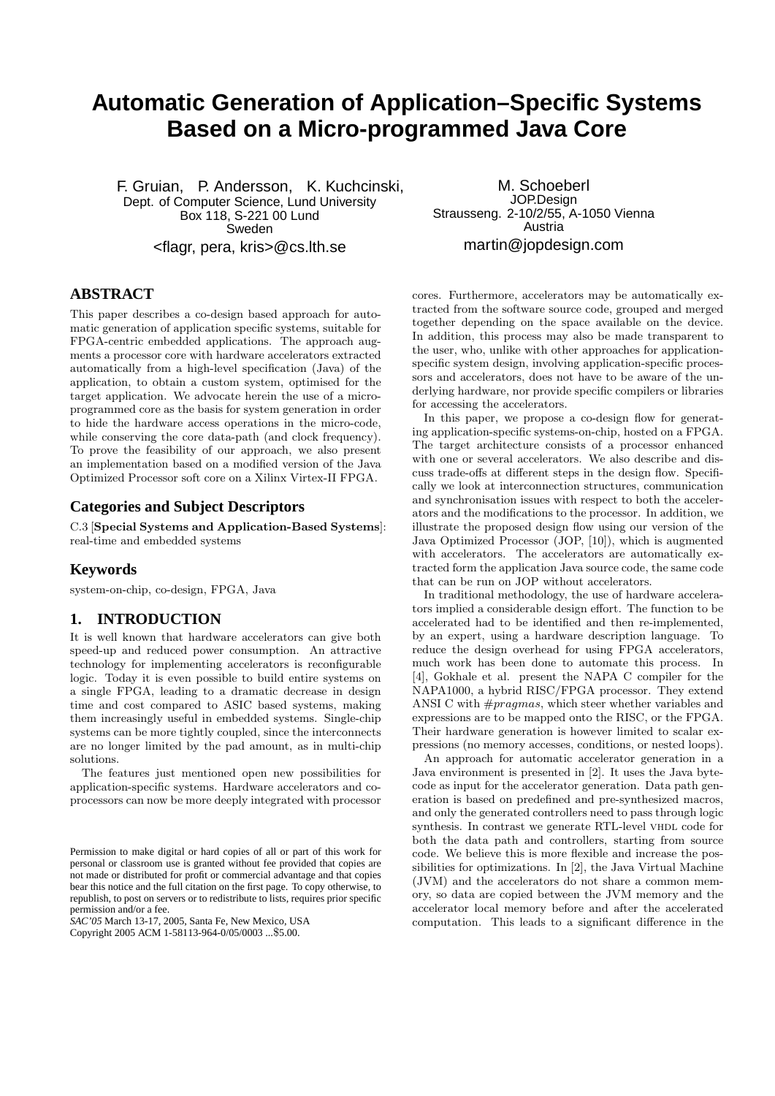# **Automatic Generation of Application–Specific Systems Based on a Micro-programmed Java Core**

F. Gruian, P. Andersson, K. Kuchcinski, Dept. of Computer Science, Lund University Box 118, S-221 00 Lund Sweden <flagr, pera, kris>@cs.lth.se

M. Schoeberl JOP.Design Strausseng. 2-10/2/55, A-1050 Vienna Austria martin@jopdesign.com

## **ABSTRACT**

This paper describes a co-design based approach for automatic generation of application specific systems, suitable for FPGA-centric embedded applications. The approach augments a processor core with hardware accelerators extracted automatically from a high-level specification (Java) of the application, to obtain a custom system, optimised for the target application. We advocate herein the use of a microprogrammed core as the basis for system generation in order to hide the hardware access operations in the micro-code, while conserving the core data-path (and clock frequency). To prove the feasibility of our approach, we also present an implementation based on a modified version of the Java Optimized Processor soft core on a Xilinx Virtex-II FPGA.

### **Categories and Subject Descriptors**

C.3 [Special Systems and Application-Based Systems]: real-time and embedded systems

#### **Keywords**

system-on-chip, co-design, FPGA, Java

## **1. INTRODUCTION**

It is well known that hardware accelerators can give both speed-up and reduced power consumption. An attractive technology for implementing accelerators is reconfigurable logic. Today it is even possible to build entire systems on a single FPGA, leading to a dramatic decrease in design time and cost compared to ASIC based systems, making them increasingly useful in embedded systems. Single-chip systems can be more tightly coupled, since the interconnects are no longer limited by the pad amount, as in multi-chip solutions.

The features just mentioned open new possibilities for application-specific systems. Hardware accelerators and coprocessors can now be more deeply integrated with processor

*SAC'05* March 13-17, 2005, Santa Fe, New Mexico, USA Copyright 2005 ACM 1-58113-964-0/05/0003 ...\$5.00.

cores. Furthermore, accelerators may be automatically extracted from the software source code, grouped and merged together depending on the space available on the device. In addition, this process may also be made transparent to the user, who, unlike with other approaches for applicationspecific system design, involving application-specific processors and accelerators, does not have to be aware of the underlying hardware, nor provide specific compilers or libraries for accessing the accelerators.

In this paper, we propose a co-design flow for generating application-specific systems-on-chip, hosted on a FPGA. The target architecture consists of a processor enhanced with one or several accelerators. We also describe and discuss trade-offs at different steps in the design flow. Specifically we look at interconnection structures, communication and synchronisation issues with respect to both the accelerators and the modifications to the processor. In addition, we illustrate the proposed design flow using our version of the Java Optimized Processor (JOP, [10]), which is augmented with accelerators. The accelerators are automatically extracted form the application Java source code, the same code that can be run on JOP without accelerators.

In traditional methodology, the use of hardware accelerators implied a considerable design effort. The function to be accelerated had to be identified and then re-implemented, by an expert, using a hardware description language. To reduce the design overhead for using FPGA accelerators, much work has been done to automate this process. In [4], Gokhale et al. present the NAPA C compiler for the NAPA1000, a hybrid RISC/FPGA processor. They extend ANSI C with #pragmas, which steer whether variables and expressions are to be mapped onto the RISC, or the FPGA. Their hardware generation is however limited to scalar expressions (no memory accesses, conditions, or nested loops).

An approach for automatic accelerator generation in a Java environment is presented in [2]. It uses the Java bytecode as input for the accelerator generation. Data path generation is based on predefined and pre-synthesized macros, and only the generated controllers need to pass through logic synthesis. In contrast we generate RTL-level VHDL code for both the data path and controllers, starting from source code. We believe this is more flexible and increase the possibilities for optimizations. In [2], the Java Virtual Machine (JVM) and the accelerators do not share a common memory, so data are copied between the JVM memory and the accelerator local memory before and after the accelerated computation. This leads to a significant difference in the

Permission to make digital or hard copies of all or part of this work for personal or classroom use is granted without fee provided that copies are not made or distributed for profit or commercial advantage and that copies bear this notice and the full citation on the first page. To copy otherwise, to republish, to post on servers or to redistribute to lists, requires prior specific permission and/or a fee.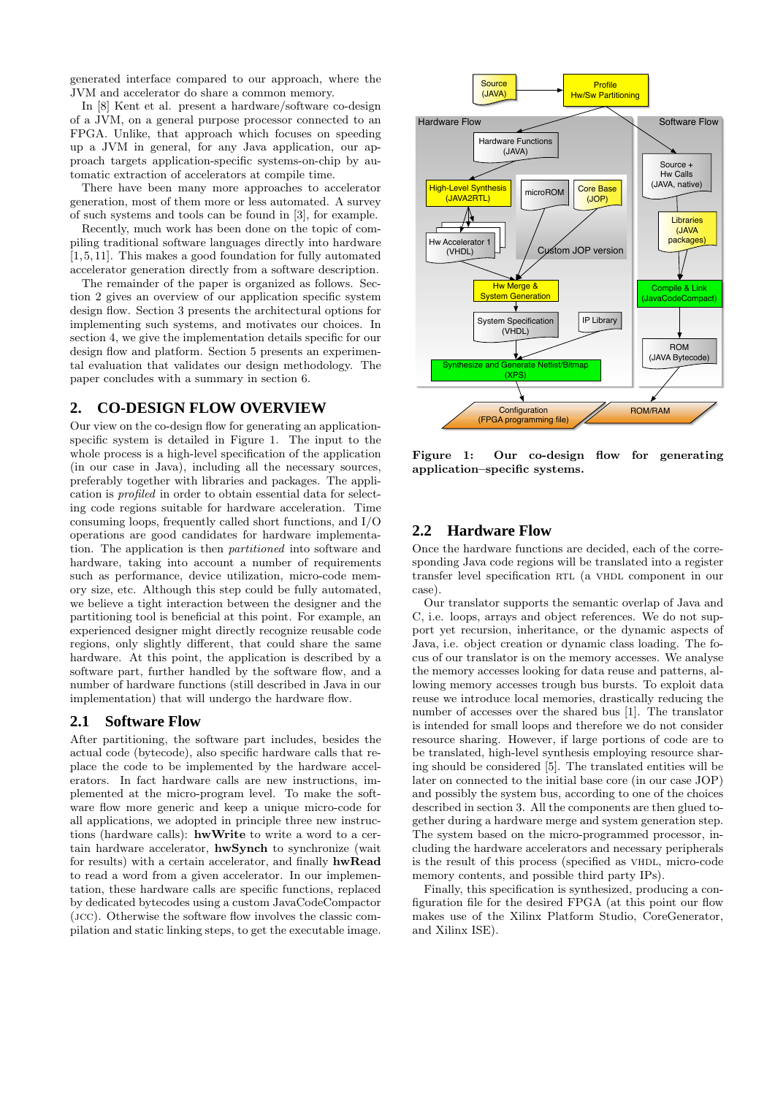generated interface compared to our approach, where the JVM and accelerator do share a common memory.

In [8] Kent et al. present a hardware/software co-design of a JVM, on a general purpose processor connected to an FPGA. Unlike, that approach which focuses on speeding up a JVM in general, for any Java application, our approach targets application-specific systems-on-chip by automatic extraction of accelerators at compile time.

There have been many more approaches to accelerator generation, most of them more or less automated. A survey of such systems and tools can be found in [3], for example.

Recently, much work has been done on the topic of compiling traditional software languages directly into hardware [1, 5, 11]. This makes a good foundation for fully automated accelerator generation directly from a software description.

The remainder of the paper is organized as follows. Section 2 gives an overview of our application specific system design flow. Section 3 presents the architectural options for implementing such systems, and motivates our choices. In section 4, we give the implementation details specific for our design flow and platform. Section 5 presents an experimental evaluation that validates our design methodology. The paper concludes with a summary in section 6.

## **2. CO-DESIGN FLOW OVERVIEW**

Our view on the co-design flow for generating an applicationspecific system is detailed in Figure 1. The input to the whole process is a high-level specification of the application (in our case in Java), including all the necessary sources, preferably together with libraries and packages. The application is profiled in order to obtain essential data for selecting code regions suitable for hardware acceleration. Time consuming loops, frequently called short functions, and I/O operations are good candidates for hardware implementation. The application is then partitioned into software and hardware, taking into account a number of requirements such as performance, device utilization, micro-code memory size, etc. Although this step could be fully automated, we believe a tight interaction between the designer and the partitioning tool is beneficial at this point. For example, an experienced designer might directly recognize reusable code regions, only slightly different, that could share the same hardware. At this point, the application is described by a software part, further handled by the software flow, and a number of hardware functions (still described in Java in our implementation) that will undergo the hardware flow.

### **2.1 Software Flow**

After partitioning, the software part includes, besides the actual code (bytecode), also specific hardware calls that replace the code to be implemented by the hardware accelerators. In fact hardware calls are new instructions, implemented at the micro-program level. To make the software flow more generic and keep a unique micro-code for all applications, we adopted in principle three new instructions (hardware calls): hwWrite to write a word to a certain hardware accelerator, hwSynch to synchronize (wait for results) with a certain accelerator, and finally hwRead to read a word from a given accelerator. In our implementation, these hardware calls are specific functions, replaced by dedicated bytecodes using a custom JavaCodeCompactor (jcc). Otherwise the software flow involves the classic compilation and static linking steps, to get the executable image.



Figure 1: Our co-design flow for generating application–specific systems.

### **2.2 Hardware Flow**

Once the hardware functions are decided, each of the corresponding Java code regions will be translated into a register transfer level specification RTL (a VHDL component in our case).

Our translator supports the semantic overlap of Java and C, i.e. loops, arrays and object references. We do not support yet recursion, inheritance, or the dynamic aspects of Java, i.e. object creation or dynamic class loading. The focus of our translator is on the memory accesses. We analyse the memory accesses looking for data reuse and patterns, allowing memory accesses trough bus bursts. To exploit data reuse we introduce local memories, drastically reducing the number of accesses over the shared bus [1]. The translator is intended for small loops and therefore we do not consider resource sharing. However, if large portions of code are to be translated, high-level synthesis employing resource sharing should be considered [5]. The translated entities will be later on connected to the initial base core (in our case JOP) and possibly the system bus, according to one of the choices described in section 3. All the components are then glued together during a hardware merge and system generation step. The system based on the micro-programmed processor, including the hardware accelerators and necessary peripherals is the result of this process (specified as VHDL, micro-code memory contents, and possible third party IPs).

Finally, this specification is synthesized, producing a configuration file for the desired FPGA (at this point our flow makes use of the Xilinx Platform Studio, CoreGenerator, and Xilinx ISE).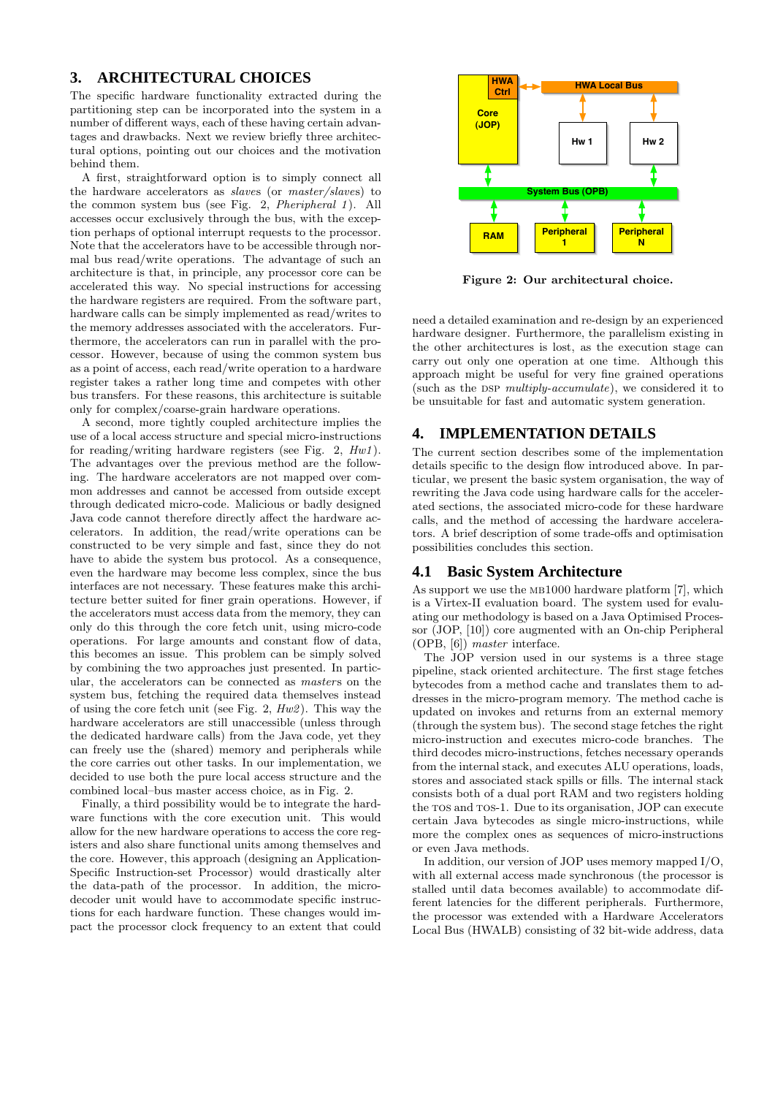## **3. ARCHITECTURAL CHOICES**

The specific hardware functionality extracted during the partitioning step can be incorporated into the system in a number of different ways, each of these having certain advantages and drawbacks. Next we review briefly three architectural options, pointing out our choices and the motivation behind them.

A first, straightforward option is to simply connect all the hardware accelerators as slaves (or master/slaves) to the common system bus (see Fig. 2, Pheripheral 1). All accesses occur exclusively through the bus, with the exception perhaps of optional interrupt requests to the processor. Note that the accelerators have to be accessible through normal bus read/write operations. The advantage of such an architecture is that, in principle, any processor core can be accelerated this way. No special instructions for accessing the hardware registers are required. From the software part, hardware calls can be simply implemented as read/writes to the memory addresses associated with the accelerators. Furthermore, the accelerators can run in parallel with the processor. However, because of using the common system bus as a point of access, each read/write operation to a hardware register takes a rather long time and competes with other bus transfers. For these reasons, this architecture is suitable only for complex/coarse-grain hardware operations.

A second, more tightly coupled architecture implies the use of a local access structure and special micro-instructions for reading/writing hardware registers (see Fig. 2,  $Hw1$ ). The advantages over the previous method are the following. The hardware accelerators are not mapped over common addresses and cannot be accessed from outside except through dedicated micro-code. Malicious or badly designed Java code cannot therefore directly affect the hardware accelerators. In addition, the read/write operations can be constructed to be very simple and fast, since they do not have to abide the system bus protocol. As a consequence, even the hardware may become less complex, since the bus interfaces are not necessary. These features make this architecture better suited for finer grain operations. However, if the accelerators must access data from the memory, they can only do this through the core fetch unit, using micro-code operations. For large amounts and constant flow of data, this becomes an issue. This problem can be simply solved by combining the two approaches just presented. In particular, the accelerators can be connected as masters on the system bus, fetching the required data themselves instead of using the core fetch unit (see Fig. 2,  $H(w2)$ ). This way the hardware accelerators are still unaccessible (unless through the dedicated hardware calls) from the Java code, yet they can freely use the (shared) memory and peripherals while the core carries out other tasks. In our implementation, we decided to use both the pure local access structure and the combined local–bus master access choice, as in Fig. 2.

Finally, a third possibility would be to integrate the hardware functions with the core execution unit. This would allow for the new hardware operations to access the core registers and also share functional units among themselves and the core. However, this approach (designing an Application-Specific Instruction-set Processor) would drastically alter the data-path of the processor. In addition, the microdecoder unit would have to accommodate specific instructions for each hardware function. These changes would impact the processor clock frequency to an extent that could



Figure 2: Our architectural choice.

need a detailed examination and re-design by an experienced hardware designer. Furthermore, the parallelism existing in the other architectures is lost, as the execution stage can carry out only one operation at one time. Although this approach might be useful for very fine grained operations (such as the DSP multiply-accumulate), we considered it to be unsuitable for fast and automatic system generation.

### **4. IMPLEMENTATION DETAILS**

The current section describes some of the implementation details specific to the design flow introduced above. In particular, we present the basic system organisation, the way of rewriting the Java code using hardware calls for the accelerated sections, the associated micro-code for these hardware calls, and the method of accessing the hardware accelerators. A brief description of some trade-offs and optimisation possibilities concludes this section.

#### **4.1 Basic System Architecture**

As support we use the  $MB1000$  hardware platform [7], which is a Virtex-II evaluation board. The system used for evaluating our methodology is based on a Java Optimised Processor (JOP, [10]) core augmented with an On-chip Peripheral (OPB, [6]) master interface.

The JOP version used in our systems is a three stage pipeline, stack oriented architecture. The first stage fetches bytecodes from a method cache and translates them to addresses in the micro-program memory. The method cache is updated on invokes and returns from an external memory (through the system bus). The second stage fetches the right micro-instruction and executes micro-code branches. The third decodes micro-instructions, fetches necessary operands from the internal stack, and executes ALU operations, loads, stores and associated stack spills or fills. The internal stack consists both of a dual port RAM and two registers holding the tos and tos-1. Due to its organisation, JOP can execute certain Java bytecodes as single micro-instructions, while more the complex ones as sequences of micro-instructions or even Java methods.

In addition, our version of JOP uses memory mapped I/O, with all external access made synchronous (the processor is stalled until data becomes available) to accommodate different latencies for the different peripherals. Furthermore, the processor was extended with a Hardware Accelerators Local Bus (HWALB) consisting of 32 bit-wide address, data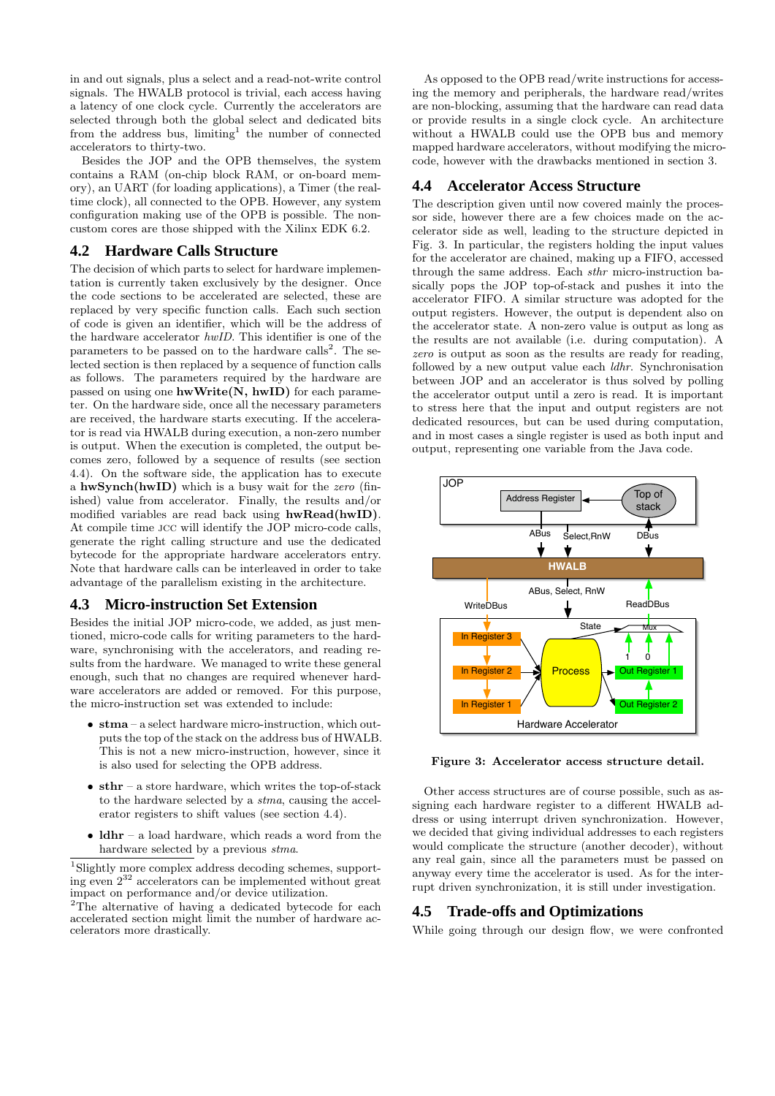in and out signals, plus a select and a read-not-write control signals. The HWALB protocol is trivial, each access having a latency of one clock cycle. Currently the accelerators are selected through both the global select and dedicated bits from the address bus, limiting<sup>1</sup> the number of connected accelerators to thirty-two.

Besides the JOP and the OPB themselves, the system contains a RAM (on-chip block RAM, or on-board memory), an UART (for loading applications), a Timer (the realtime clock), all connected to the OPB. However, any system configuration making use of the OPB is possible. The noncustom cores are those shipped with the Xilinx EDK 6.2.

### **4.2 Hardware Calls Structure**

The decision of which parts to select for hardware implementation is currently taken exclusively by the designer. Once the code sections to be accelerated are selected, these are replaced by very specific function calls. Each such section of code is given an identifier, which will be the address of the hardware accelerator hwID. This identifier is one of the parameters to be passed on to the hardware calls<sup>2</sup>. The selected section is then replaced by a sequence of function calls as follows. The parameters required by the hardware are passed on using one  $hwhrite(N, hwhID)$  for each parameter. On the hardware side, once all the necessary parameters are received, the hardware starts executing. If the accelerator is read via HWALB during execution, a non-zero number is output. When the execution is completed, the output becomes zero, followed by a sequence of results (see section 4.4). On the software side, the application has to execute a hwSynch(hwID) which is a busy wait for the zero (finished) value from accelerator. Finally, the results and/or modified variables are read back using hwRead(hwID). At compile time jcc will identify the JOP micro-code calls, generate the right calling structure and use the dedicated bytecode for the appropriate hardware accelerators entry. Note that hardware calls can be interleaved in order to take advantage of the parallelism existing in the architecture.

## **4.3 Micro-instruction Set Extension**

Besides the initial JOP micro-code, we added, as just mentioned, micro-code calls for writing parameters to the hardware, synchronising with the accelerators, and reading results from the hardware. We managed to write these general enough, such that no changes are required whenever hardware accelerators are added or removed. For this purpose, the micro-instruction set was extended to include:

- stma a select hardware micro-instruction, which outputs the top of the stack on the address bus of HWALB. This is not a new micro-instruction, however, since it is also used for selecting the OPB address.
- sthr a store hardware, which writes the top-of-stack to the hardware selected by a stma, causing the accelerator registers to shift values (see section 4.4).
- **ldhr** a load hardware, which reads a word from the hardware selected by a previous stma.

<sup>1</sup>Slightly more complex address decoding schemes, supporting even 2<sup>32</sup> accelerators can be implemented without great impact on performance and/or device utilization.

<sup>2</sup>The alternative of having a dedicated bytecode for each accelerated section might limit the number of hardware accelerators more drastically.

As opposed to the OPB read/write instructions for accessing the memory and peripherals, the hardware read/writes are non-blocking, assuming that the hardware can read data or provide results in a single clock cycle. An architecture without a HWALB could use the OPB bus and memory mapped hardware accelerators, without modifying the microcode, however with the drawbacks mentioned in section 3.

### **4.4 Accelerator Access Structure**

The description given until now covered mainly the processor side, however there are a few choices made on the accelerator side as well, leading to the structure depicted in Fig. 3. In particular, the registers holding the input values for the accelerator are chained, making up a FIFO, accessed through the same address. Each sthr micro-instruction basically pops the JOP top-of-stack and pushes it into the accelerator FIFO. A similar structure was adopted for the output registers. However, the output is dependent also on the accelerator state. A non-zero value is output as long as the results are not available (i.e. during computation). A zero is output as soon as the results are ready for reading, followed by a new output value each ldhr. Synchronisation between JOP and an accelerator is thus solved by polling the accelerator output until a zero is read. It is important to stress here that the input and output registers are not dedicated resources, but can be used during computation, and in most cases a single register is used as both input and output, representing one variable from the Java code.



Figure 3: Accelerator access structure detail.

Other access structures are of course possible, such as assigning each hardware register to a different HWALB address or using interrupt driven synchronization. However, we decided that giving individual addresses to each registers would complicate the structure (another decoder), without any real gain, since all the parameters must be passed on anyway every time the accelerator is used. As for the interrupt driven synchronization, it is still under investigation.

### **4.5 Trade-offs and Optimizations**

While going through our design flow, we were confronted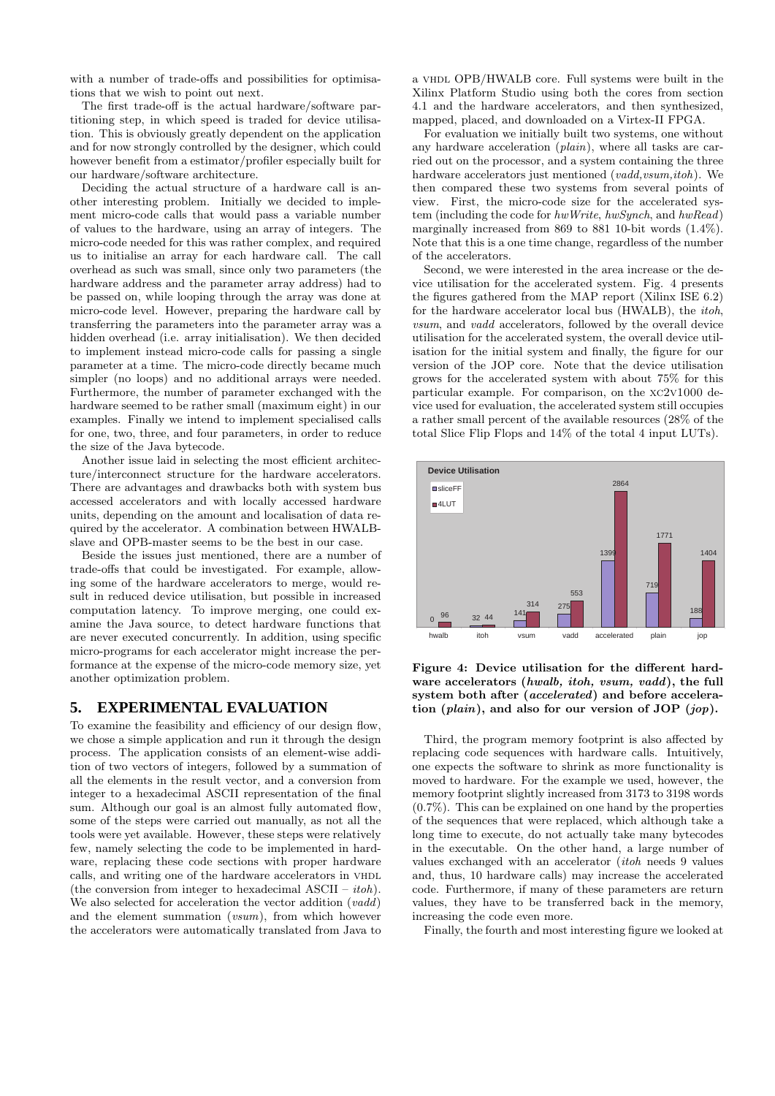with a number of trade-offs and possibilities for optimisations that we wish to point out next.

The first trade-off is the actual hardware/software partitioning step, in which speed is traded for device utilisation. This is obviously greatly dependent on the application and for now strongly controlled by the designer, which could however benefit from a estimator/profiler especially built for our hardware/software architecture.

Deciding the actual structure of a hardware call is another interesting problem. Initially we decided to implement micro-code calls that would pass a variable number of values to the hardware, using an array of integers. The micro-code needed for this was rather complex, and required us to initialise an array for each hardware call. The call overhead as such was small, since only two parameters (the hardware address and the parameter array address) had to be passed on, while looping through the array was done at micro-code level. However, preparing the hardware call by transferring the parameters into the parameter array was a hidden overhead (i.e. array initialisation). We then decided to implement instead micro-code calls for passing a single parameter at a time. The micro-code directly became much simpler (no loops) and no additional arrays were needed. Furthermore, the number of parameter exchanged with the hardware seemed to be rather small (maximum eight) in our examples. Finally we intend to implement specialised calls for one, two, three, and four parameters, in order to reduce the size of the Java bytecode.

Another issue laid in selecting the most efficient architecture/interconnect structure for the hardware accelerators. There are advantages and drawbacks both with system bus accessed accelerators and with locally accessed hardware units, depending on the amount and localisation of data required by the accelerator. A combination between HWALBslave and OPB-master seems to be the best in our case.

Beside the issues just mentioned, there are a number of trade-offs that could be investigated. For example, allowing some of the hardware accelerators to merge, would result in reduced device utilisation, but possible in increased computation latency. To improve merging, one could examine the Java source, to detect hardware functions that are never executed concurrently. In addition, using specific micro-programs for each accelerator might increase the performance at the expense of the micro-code memory size, yet another optimization problem.

### **5. EXPERIMENTAL EVALUATION**

To examine the feasibility and efficiency of our design flow, we chose a simple application and run it through the design process. The application consists of an element-wise addition of two vectors of integers, followed by a summation of all the elements in the result vector, and a conversion from integer to a hexadecimal ASCII representation of the final sum. Although our goal is an almost fully automated flow, some of the steps were carried out manually, as not all the tools were yet available. However, these steps were relatively few, namely selecting the code to be implemented in hardware, replacing these code sections with proper hardware calls, and writing one of the hardware accelerators in VHDL (the conversion from integer to hexadecimal  $\text{ASCII} - itoh$ ). We also selected for acceleration the vector addition (vadd) and the element summation (vsum), from which however the accelerators were automatically translated from Java to

a VHDL OPB/HWALB core. Full systems were built in the Xilinx Platform Studio using both the cores from section 4.1 and the hardware accelerators, and then synthesized, mapped, placed, and downloaded on a Virtex-II FPGA.

For evaluation we initially built two systems, one without any hardware acceleration (plain), where all tasks are carried out on the processor, and a system containing the three hardware accelerators just mentioned (vadd, vsum, itoh). We then compared these two systems from several points of view. First, the micro-code size for the accelerated system (including the code for hwWrite, hwSynch, and hwRead) marginally increased from 869 to 881 10-bit words (1.4%). Note that this is a one time change, regardless of the number of the accelerators.

Second, we were interested in the area increase or the device utilisation for the accelerated system. Fig. 4 presents the figures gathered from the MAP report (Xilinx ISE 6.2) for the hardware accelerator local bus (HWALB), the itoh, vsum, and vadd accelerators, followed by the overall device utilisation for the accelerated system, the overall device utilisation for the initial system and finally, the figure for our version of the JOP core. Note that the device utilisation grows for the accelerated system with about 75% for this particular example. For comparison, on the xc2v1000 device used for evaluation, the accelerated system still occupies a rather small percent of the available resources (28% of the total Slice Flip Flops and 14% of the total 4 input LUTs).



Figure 4: Device utilisation for the different hardware accelerators (hwalb, itoh, vsum, vadd), the full system both after (accelerated) and before acceleration  $(plain)$ , and also for our version of JOP  $(iop)$ .

Third, the program memory footprint is also affected by replacing code sequences with hardware calls. Intuitively, one expects the software to shrink as more functionality is moved to hardware. For the example we used, however, the memory footprint slightly increased from 3173 to 3198 words (0.7%). This can be explained on one hand by the properties of the sequences that were replaced, which although take a long time to execute, do not actually take many bytecodes in the executable. On the other hand, a large number of values exchanged with an accelerator (itoh needs 9 values and, thus, 10 hardware calls) may increase the accelerated code. Furthermore, if many of these parameters are return values, they have to be transferred back in the memory, increasing the code even more.

Finally, the fourth and most interesting figure we looked at